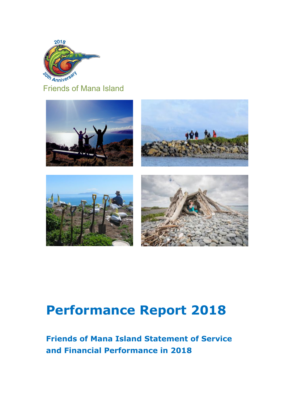

Friends of Mana Island



# **Performance Report 2018**

## **Friends of Mana Island Statement of Service and Financial Performance in 2018**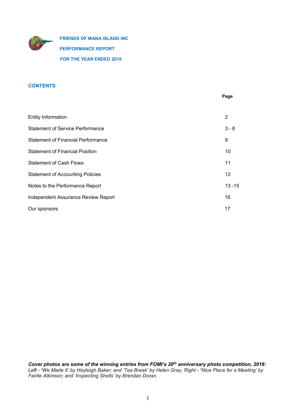

**FRIENDS OF MANA ISLAND INC PERFORMANCE REPORT FOR THE YEAR ENDED 2018**

## **CONTENTS**

|                                           | Page              |
|-------------------------------------------|-------------------|
|                                           |                   |
| <b>Entity Information</b>                 | 2                 |
| <b>Statement of Service Performance</b>   | $3 - 8$           |
| <b>Statement of Financial Performance</b> | 9                 |
| <b>Statement of Financial Position</b>    | 10                |
| <b>Statement of Cash Flows</b>            | 11                |
| <b>Statement of Accounting Policies</b>   | $12 \overline{ }$ |
| Notes to the Performance Report           | $13 - 15$         |
| Independent Assurance Review Report       | 16                |
| Our sponsors                              | 17                |

*Cover photos are some of the winning entries from FOMI's 20th anniversary photo competition, 2018:* Left - 'We Made It' by Hayleigh Baker; and 'Tea Break' by Helen Gray. Right - 'Nice Place for a Meeting' by *Fairlie Atkinson; and 'Inspecting Shells' by Brendan Doran.*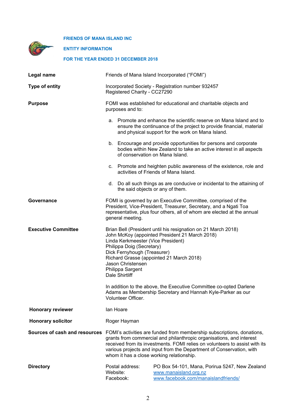**ENTITY INFORMATION**

## **FOR THE YEAR ENDED 31 DECEMBER 2018**

| Legal name                 | Friends of Mana Island Incorporated ("FOMI")                                                                                                                                                                                                                                                                                                                                                   |  |  |  |  |
|----------------------------|------------------------------------------------------------------------------------------------------------------------------------------------------------------------------------------------------------------------------------------------------------------------------------------------------------------------------------------------------------------------------------------------|--|--|--|--|
| <b>Type of entity</b>      | Incorporated Society - Registration number 932457<br>Registered Charity - CC27290                                                                                                                                                                                                                                                                                                              |  |  |  |  |
| <b>Purpose</b>             | FOMI was established for educational and charitable objects and<br>purposes and to:                                                                                                                                                                                                                                                                                                            |  |  |  |  |
|                            | a. Promote and enhance the scientific reserve on Mana Island and to<br>ensure the continuance of the project to provide financial, material<br>and physical support for the work on Mana Island.                                                                                                                                                                                               |  |  |  |  |
|                            | b. Encourage and provide opportunities for persons and corporate<br>bodies within New Zealand to take an active interest in all aspects<br>of conservation on Mana Island.                                                                                                                                                                                                                     |  |  |  |  |
|                            | Promote and heighten public awareness of the existence, role and<br>C.<br>activities of Friends of Mana Island.                                                                                                                                                                                                                                                                                |  |  |  |  |
|                            | d. Do all such things as are conducive or incidental to the attaining of<br>the said objects or any of them.                                                                                                                                                                                                                                                                                   |  |  |  |  |
| Governance                 | FOMI is governed by an Executive Committee, comprised of the<br>President, Vice-President, Treasurer, Secretary, and a Ngati Toa<br>representative, plus four others, all of whom are elected at the annual<br>general meeting.                                                                                                                                                                |  |  |  |  |
| <b>Executive Committee</b> | Brian Bell (President until his resignation on 21 March 2018)<br>John McKoy (appointed President 21 March 2018)<br>Linda Kerkmeester (Vice President)<br>Philippa Doig (Secretary)<br>Dick Fernyhough (Treasurer)<br>Richard Grasse (appointed 21 March 2018)<br>Jason Christensen<br>Philippa Sargent<br>Dale Shirtliff<br>In addition to the above, the Executive Committee co-opted Darlene |  |  |  |  |
|                            | Adams as Membership Secretary and Hannah Kyle-Parker as our<br>Volunteer Officer.                                                                                                                                                                                                                                                                                                              |  |  |  |  |
| <b>Honorary reviewer</b>   | lan Hoare                                                                                                                                                                                                                                                                                                                                                                                      |  |  |  |  |
| <b>Honorary solicitor</b>  | Roger Hayman                                                                                                                                                                                                                                                                                                                                                                                   |  |  |  |  |
|                            | Sources of cash and resources FOMI's activities are funded from membership subscriptions, donations,<br>grants from commercial and philanthropic organisations, and interest<br>received from its investments. FOMI relies on volunteers to assist with its<br>various projects and input from the Department of Conservation, with<br>whom it has a close working relationship.               |  |  |  |  |
| <b>Directory</b>           | Postal address:<br>PO Box 54-101, Mana, Porirua 5247, New Zealand<br>Website:<br>www.manaisland.org.nz<br>Facebook:<br>www.facebook.com/manaislandfriends/                                                                                                                                                                                                                                     |  |  |  |  |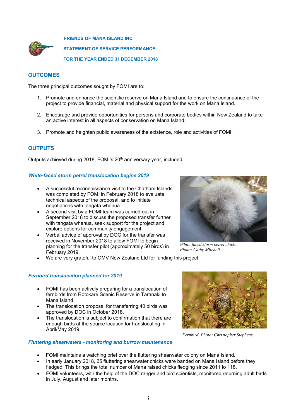

**FRIENDS OF MANA ISLAND INC STATEMENT OF SERVICE PERFORMANCE FOR THE YEAR ENDED 31 DECEMBER 2018**

## **OUTCOMES**

The three principal outcomes sought by FOMI are to:

- 1. Promote and enhance the scientific reserve on Mana Island and to ensure the continuance of the project to provide financial, material and physical support for the work on Mana Island.
- 2. Encourage and provide opportunities for persons and corporate bodies within New Zealand to take an active interest in all aspects of conservation on Mana Island.
- 3. Promote and heighten public awareness of the existence, role and activities of FOMI.

## **OUTPUTS**

Outputs achieved during 2018, FOMI's 20<sup>th</sup> anniversary year, included:

## *White-faced storm petrel translocation begins 2019*

- A successful reconnaissance visit to the Chatham Islands was completed by FOMI in February 2018 to evaluate technical aspects of the proposal, and to initiate negotiations with tangata whenua.
- A second visit by a FOMI team was carried out in September 2018 to discuss the proposed transfer further with tangata whenua, seek support for the project and explore options for community engagement.
- Verbal advice of approval by DOC for the transfer was received in November 2018 to allow FOMI to begin planning for the transfer pilot (approximately 50 birds) in February 2019.
- We are very grateful to OMV New Zealand Ltd for funding this project.

## *Fernbird translocation planned for 2019*

- FOMI has been actively preparing for a translocation of fernbirds from Rotokare Scenic Reserve in Taranaki to Mana Island.
- The translocation proposal for transferring 40 birds was approved by DOC in October 2018.
- The translocation is subject to confirmation that there are enough birds at the source location for translocating in April/May 2019.

## *Fluttering shearwaters - monitoring and burrow maintenance*

*Fernbird. Photo: Christopher Stephens.*

- FOMI maintains a watching brief over the fluttering shearwater colony on Mana Island.
- In early January 2018, 25 fluttering shearwater chicks were banded on Mana Island before they fledged. This brings the total number of Mana raised chicks fledging since 2011 to 118.
- FOMI volunteers, with the help of the DOC ranger and bird scientists, monitored returning adult birds in July, August and later months.



*White-faced storm petrel chick. Photo: Cathy Mitchell.*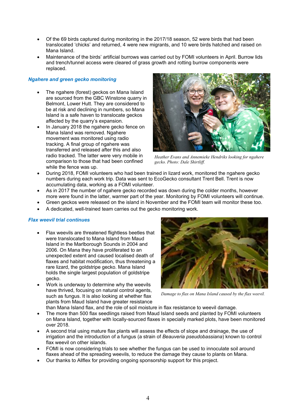- Of the 69 birds captured during monitoring in the 2017/18 season, 52 were birds that had been translocated 'chicks' and returned, 4 were new migrants, and 10 were birds hatched and raised on Mana Island.
- Maintenance of the birds' artificial burrows was carried out by FOMI volunteers in April. Burrow lids and trench/tunnel access were cleared of grass growth and rotting burrow components were replaced.

## *Ngahere and green gecko monitoring*

- The ngahere (forest) geckos on Mana Island are sourced from the GBC Winstone quarry in Belmont, Lower Hutt. They are considered to be at risk and declining in numbers, so Mana Island is a safe haven to translocate geckos affected by the quarry's expansion.
- In January 2018 the ngahere gecko fence on Mana Island was removed. Ngahere movement was monitored using radio tracking. A final group of ngahere was transferred and released after this and also radio tracked. The latter were very mobile in comparison to those that had been confined while the fence was up.



*Heather Evans and Annemieke Hendriks looking for ngahere gecko. Photo: Dale Shirtliff.*

- During 2018, FOMI volunteers who had been trained in lizard work, monitored the ngahere gecko numbers during each work trip. Data was sent to EcoGecko consultant Trent Bell. Trent is now accumulating data, working as a FOMI volunteer.
- As in 2017 the number of ngahere gecko recorded was down during the colder months, however more were found in the latter, warmer part of the year. Monitoring by FOMI volunteers will continue.
- Green geckos were released on the island in November and the FOMI team will monitor these too.
- A dedicated, well-trained team carries out the gecko monitoring work.

## *Flax weevil trial continues*

- Flax weevils are threatened flightless beetles that were translocated to Mana Island from Maud Island in the Marlborough Sounds in 2004 and 2006. On Mana they have proliferated to an unexpected extent and caused localised death of flaxes and habitat modification, thus threatening a rare lizard, the goldstripe gecko. Mana Island holds the single largest population of goldstripe gecko.
- Work is underway to determine why the weevils have thrived, focusing on natural control agents, such as fungus. It is also looking at whether flax plants from Maud Island have greater resistance



*Damage to flax on Mana Island caused by the flax weevil.*

- than Mana Island flax, and the role of soil moisture in flax resistance to weevil damage.
- The more than 500 flax seedlings raised from Maud Island seeds and planted by FOMI volunteers on Mana Island, together with locally-sourced flaxes in specially marked plots, have been monitored over 2018.
- A second trial using mature flax plants will assess the effects of slope and drainage, the use of irrigation and the introduction of a fungus (a strain of *Beauveria pseudobassiana*) known to control flax weevil on other islands.
- FOMI is now considering trials to see whether the fungus can be used to innoculate soil around flaxes ahead of the spreading weevils, to reduce the damage they cause to plants on Mana.
- Our thanks to Allflex for providing ongoing sponsorship support for this project.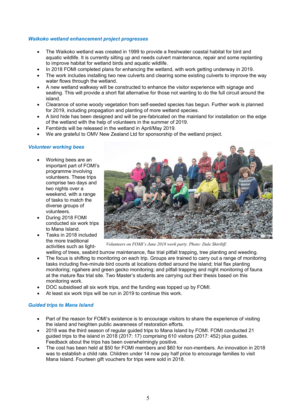## *Waikoko wetland enhancement project progresses*

- The Waikoko wetland was created in 1999 to provide a freshwater coastal habitat for bird and aquatic wildlife. It is currently silting up and needs culvert maintenance, repair and some replanting to improve habitat for wetland birds and aquatic wildlife.
- In 2018 FOMI completed plans for enhancing the wetland, with work getting underway in 2019.
- The work includes installing two new culverts and clearing some existing culverts to improve the way water flows through the wetland.
- A new wetland walkway will be constructed to enhance the visitor experience with signage and seating. This will provide a short flat alternative for those not wanting to do the full circuit around the island.
- Clearance of some woody vegetation from self-seeded species has begun. Further work is planned for 2019, including propagation and planting of more wetland species.
- A bird hide has been designed and will be pre-fabricated on the mainland for installation on the edge of the wetland with the help of volunteers in the summer of 2019.
- Fernbirds will be released in the wetland in April/May 2019.
- We are grateful to OMV New Zealand Ltd for sponsorship of the wetland project.

## *Volunteer working bees*

- Working bees are an important part of FOMI's programme involving volunteers. These trips comprise two days and two nights over a weekend, with a range of tasks to match the diverse groups of volunteers.
- During 2018 FOMI conducted six work trips to Mana Island.
- Tasks in 2018 included the more traditional activities such as light-



*Volunteers on FOMI's June 2018 work party. Photo: Dale Shirtliff.*

- welling of trees, seabird burrow maintenance, flax trial pitfall trapping, tree planting and weeding. The focus is shifting to monitoring on each trip. Groups are trained to carry out a range of monitoring tasks including five-minute bird counts at locations dotted around the island; trial flax planting monitoring; ngahere and green gecko monitoring; and pitfall trapping and night monitoring of fauna at the mature flax trial site. Two Master's students are carrying out their thesis based on this monitoring work.
- DOC subsidised all six work trips, and the funding was topped up by FOMI.
- At least six work trips will be run in 2019 to continue this work.

## *Guided trips to Mana Island*

- Part of the reason for FOMI's existence is to encourage visitors to share the experience of visiting the island and heighten public awareness of restoration efforts.
- 2018 was the third season of regular guided trips to Mana Island by FOMI. FOMI conducted 21 guided trips to the island in 2018 (2017: 17) comprising 610 visitors (2017: 452) plus guides. Feedback about the trips has been overwhelmingly positive.
- The cost has been held at \$50 for FOMI members and \$60 for non-members. An innovation in 2018 was to establish a child rate. Children under 14 now pay half price to encourage families to visit Mana Island. Fourteen gift vouchers for trips were sold in 2018.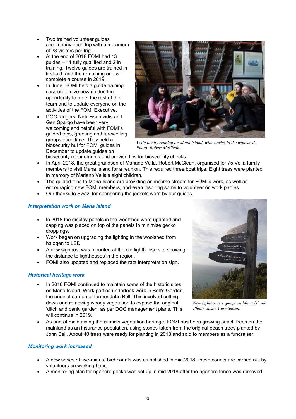- Two trained volunteer guides accompany each trip with a maximum of 28 visitors per trip.
- At the end of 2018 FOMI had 13 guides – 11 fully qualified and 2 in training. Twelve guides are trained in first-aid, and the remaining one will complete a course in 2019.
- In June, FOMI held a guide training session to give new guides the opportunity to meet the rest of the team and to update everyone on the activities of the FOMI Executive.
- DOC rangers, Nick Fisentzidis and Gen Spargo have been very welcoming and helpful with FOMI's guided trips, greeting and farewelling groups each time. They held a biosecurity hui for FOMI guides in December to update quides on



*Vella family reunion on Mana Island, with stories in the woolshed. Photo: Robert McClean.*

biosecurity requirements and provide tips for biosecurity checks.

- In April 2018, the great grandson of Mariano Vella, Robert McClean, organised for 75 Vella family members to visit Mana Island for a reunion. This required three boat trips. Eight trees were planted in memory of Mariano Vella's eight children.
- The guided trips to Mana Island are providing an income stream for FOMI's work, as well as encouraging new FOMI members, and even inspiring some to volunteer on work parties.
- Our thanks to Swazi for sponsoring the jackets worn by our guides.

## *Interpretation work on Mana Island*

- In 2018 the display panels in the woolshed were updated and capping was placed on top of the panels to minimise gecko droppings.
- Work began on upgrading the lighting in the woolshed from halogen to LED.
- A new signpost was mounted at the old lighthouse site showing the distance to lighthouses in the region.
- FOMI also updated and replaced the rata interpretation sign.

## *Historical heritage work*

 In 2018 FOMI continued to maintain some of the historic sites on Mana Island. Work parties undertook work in Bell's Garden, the original garden of farmer John Bell. This involved cutting down and removing woody vegetation to expose the original 'ditch and bank' garden, as per DOC management plans. This will continue in 2019.



*New lighthouse signage on Mana Island. Photo: Jason Christensen.*

 As part of maintaining the island's vegetation heritage, FOMI has been growing peach trees on the mainland as an insurance population, using stones taken from the original peach trees planted by John Bell. About 40 trees were ready for planting in 2018 and sold to members as a fundraiser.

## *Monitoring work increased*

- A new series of five-minute bird counts was established in mid 2018.These counts are carried out by volunteers on working bees.
- A monitoring plan for ngahere gecko was set up in mid 2018 after the ngahere fence was removed.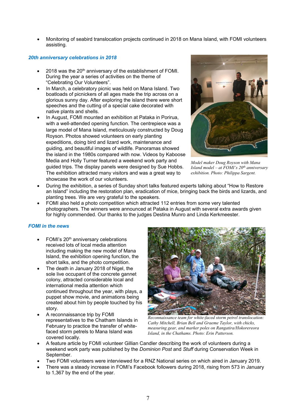Monitoring of seabird translocation projects continued in 2018 on Mana Island, with FOMI volunteers assisting.

## *20th anniversary celebrations in 2018*

- 2018 was the 20<sup>th</sup> anniversary of the establishment of FOMI. During the year a series of activities on the theme of "Celebrating Our Volunteers".
- In March, a celebratory picnic was held on Mana Island. Two boatloads of picnickers of all ages made the trip across on a glorious sunny day. After exploring the island there were short speeches and the cutting of a special cake decorated with native plants and shells.
- In August, FOMI mounted an exhibition at Pataka in Porirua, with a well-attended opening function. The centrepiece was a large model of Mana Island, meticulously constructed by Doug Royson. Photos showed volunteers on early planting expeditions, doing bird and lizard work, maintenance and guiding, and beautiful images of wildlife. Panoramas showed the island in the 1980s compared with now. Videos by Kaboose Media and Holly Turner featured a weekend work party and guided trips. The display panels were designed by Sue Hobbs. The exhibition attracted many visitors and was a great way to showcase the work of our volunteers.



*Model maker Doug Royson with Mana Island model – at FOMI's 20th anniversary exhibition. Photo: Philippa Sargent.*

- During the exhibition, a series of Sunday short talks featured experts talking about "How to Restore an Island" including the restoration plan, eradication of mice, bringing back the birds and lizards, and planting trees. We are very grateful to the speakers.
- FOMI also held a photo competition which attracted 112 entries from some very talented photographers. The winners were announced at Pataka in August with several extra awards given for highly commended. Our thanks to the judges Destina Munro and Linda Kerkmeester.

## *FOMI in the news*

- FOMI's 20<sup>th</sup> anniversary celebrations received lots of local media attention including making the new model of Mana Island, the exhibition opening function, the short talks, and the photo competition.
- The death in January 2018 of Nigel, the sole live occupant of the concrete gannet colony, attracted considerable local and international media attention which continued throughout the year, with plays, a puppet show movie, and animations being created about him by people touched by his story.
- A reconnaissance trip by FOMI representatives to the Chatham Islands in February to practice the transfer of whitefaced storm petrels to Mana Island was covered locally.



*Reconnaissance team for white-faced storm petrel translocation: Cathy Mitchell, Brian Bell and Graeme Taylor, with chicks, measuring gear, and marker poles on Rangatira/Hokorereora Island, in the Chathams. Photo: Erin Patterson.*

- A feature article by FOMI volunteer Gillian Candler describing the work of volunteers during a weekend work party was published by the *Dominion Post* and *Stuff* during Conservation Week in September.
- Two FOMI volunteers were interviewed for a RNZ National series on which aired in January 2019.
- There was a steady increase in FOMI's Facebook followers during 2018, rising from 573 in January to 1,367 by the end of the year.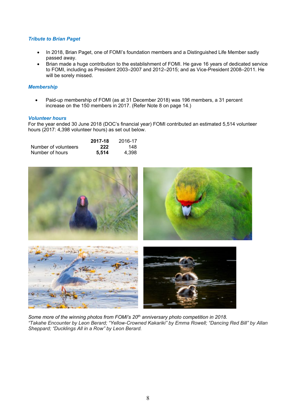## *Tribute to Brian Paget*

- In 2018, Brian Paget, one of FOMI's foundation members and a Distinguished Life Member sadly passed away.
- Brian made a huge contribution to the establishment of FOMI. He gave 16 years of dedicated service to FOMI, including as President 2003–2007 and 2012–2015; and as Vice-President 2008–2011. He will be sorely missed.

## *Membership*

 Paid-up membership of FOMI (as at 31 December 2018) was 196 members, a 31 percent increase on the 150 members in 2017. (Refer Note 8 on page 14.)

## *Volunteer hours*

For the year ended 30 June 2018 (DOC's financial year) FOMI contributed an estimated 5,514 volunteer hours (2017: 4,398 volunteer hours) as set out below.

|                      | 2017-18 | 2016-17 |
|----------------------|---------|---------|
| Number of volunteers | 222     | 148.    |
| Number of hours      | 5.514   | 4.398   |



*Some more of the winning photos from FOMI's 20th anniversary photo competition in 2018. "Takahe Encounter by Leon Berard; "Yellow-Crowned Kakariki" by Emma Rowell; "Dancing Red Bill" by Allan Sheppard; "Ducklings All in a Row" by Leon Berard.*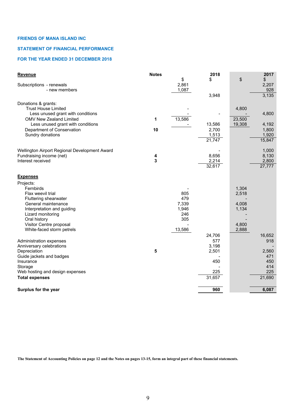## **STATEMENT OF FINANCIAL PERFORMANCE**

## **FOR THE YEAR ENDED 31 DECEMBER 2018**

| <b>Revenue</b>                                    | <b>Notes</b> |             | 2018                |        | 2017        |
|---------------------------------------------------|--------------|-------------|---------------------|--------|-------------|
|                                                   |              | \$<br>2,861 | \$                  | \$     | \$<br>2,207 |
| Subscriptions - renewals<br>- new members         |              | 1,087       |                     |        | 928         |
|                                                   |              |             | 3,948               |        | 3,135       |
|                                                   |              |             |                     |        |             |
| Donations & grants:<br><b>Trust House Limited</b> |              |             |                     | 4,800  |             |
| Less unused grant with conditions                 |              |             |                     |        | 4,800       |
| <b>OMV New Zealand Limited</b>                    | $\mathbf 1$  | 13,586      |                     | 23,500 |             |
| Less unused grant with conditions                 |              |             | 13,586              | 19,308 | 4,192       |
| Department of Conservation                        | 10           |             | 2,700               |        | 1,800       |
| Sundry donations                                  |              |             | 1,513               |        | 1,920       |
|                                                   |              |             | $\overline{21,747}$ |        | 15,847      |
|                                                   |              |             |                     |        |             |
| Wellington Airport Regional Development Award     |              |             |                     |        | 1,000       |
| Fundraising income (net)                          | 4            |             | 8,656               |        | 8,130       |
| Interest received                                 | 3            |             | 2,214               |        | 2,800       |
|                                                   |              |             | 32,617              |        | 27,777      |
| <b>Expenses</b>                                   |              |             |                     |        |             |
| Projects:                                         |              |             |                     |        |             |
| Fernbirds                                         |              |             |                     | 1,304  |             |
| Flax weevil trial                                 |              | 805         |                     | 2,518  |             |
| Fluttering shearwater                             |              | 479         |                     |        |             |
| General maintenance                               |              | 7,339       |                     | 4,008  |             |
| Interpretation and guiding                        |              | 1,946       |                     | 1,134  |             |
| Lizard monitoring                                 |              | 246         |                     |        |             |
| Oral history                                      |              | 305         |                     |        |             |
| Visitor Centre proposal                           |              |             |                     | 4,800  |             |
| White-faced storm petrels                         |              | 13,586      |                     | 2,888  |             |
|                                                   |              |             | 24,706              |        | 16,652      |
| Administration expenses                           |              |             | 577                 |        | 918         |
| Anniversary celebrations                          |              |             | 3,198               |        |             |
| Depreciation                                      | 5            |             | 2,501               |        | 2,560       |
| Guide jackets and badges                          |              |             |                     |        | 471         |
| Insurance                                         |              |             | 450                 |        | 450<br>414  |
| Storage<br>Web hosting and design expenses        |              |             | 225                 |        | 225         |
| <b>Total expenses</b>                             |              |             | 31,657              |        | 21,690      |
|                                                   |              |             |                     |        |             |
| Surplus for the year                              |              |             | 960                 |        | 6,087       |
|                                                   |              |             |                     |        |             |

**The Statement of Accounting Policies on page 12 and the Notes on pages 13-15, form an integral part of these financial statements.**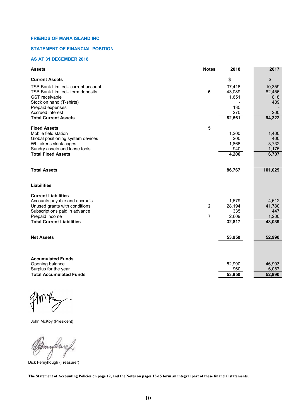#### **STATEMENT OF FINANCIAL POSITION**

## **AS AT 31 DECEMBER 2018**

| <b>Assets</b>                     | <b>Notes</b> | 2018   | 2017    |
|-----------------------------------|--------------|--------|---------|
| <b>Current Assets</b>             |              | \$     | \$      |
| TSB Bank Limited- current account |              | 37,416 | 10,359  |
| TSB Bank Limited- term deposits   | 6            | 43,089 | 82,456  |
| <b>GST</b> receivable             |              | 1,651  | 818     |
| Stock on hand (T-shirts)          |              |        | 489     |
| Prepaid expenses                  |              | 135    |         |
| <b>Accrued interest</b>           |              | 270    | 200     |
| <b>Total Current Assets</b>       |              | 82,561 | 94,322  |
| <b>Fixed Assets</b>               | 5            |        |         |
| Mobile field station              |              | 1,200  | 1,400   |
| Global positioning system devices |              | 200    | 400     |
| Whitaker's skink cages            |              | 1,866  | 3,732   |
| Sundry assets and loose tools     |              | 940    | 1,175   |
| <b>Total Fixed Assets</b>         |              | 4,206  | 6,707   |
| <b>Total Assets</b>               |              | 86,767 | 101,029 |
| <b>Liabilities</b>                |              |        |         |
| <b>Current Liabilities</b>        |              |        |         |
| Accounts payable and accruals     |              | 1,679  | 4,612   |
| Unused grants with conditions     | $\mathbf{2}$ | 28,194 | 41,780  |
| Subscriptions paid in advance     |              | 335    | 447     |
| Prepaid income                    | 7            | 2,609  | 1,200   |
| <b>Total Current Liabilities</b>  |              | 32,817 | 48,039  |
| <b>Net Assets</b>                 |              | 53,950 | 52,990  |
|                                   |              |        |         |
| <b>Accumulated Funds</b>          |              |        |         |
| Opening balance                   |              | 52,990 | 46,903  |
| Surplus for the year              |              | 960    | 6,087   |
| <b>Total Accumulated Funds</b>    |              | 53,950 | 52,990  |

 $\mathcal{A}$  $\overline{\phantom{a}}$  $\mathcal{C}$ 

John McKoy (President)

myllers b

Dick Fernyhough (Treasurer)

**The Statement of Accounting Policies on page 12, and the Notes on pages 13-15 form an integral part of these financial statements.**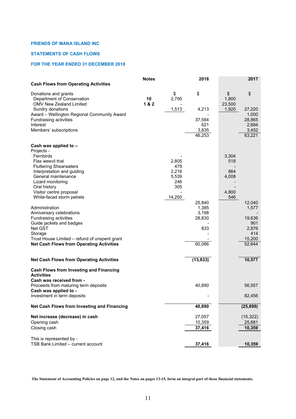## **STATEMENTS OF CASH FLOWS**

## **FOR THE YEAR ENDED 31 DECEMBER 2018**

|                                                                                      | <b>Notes</b> |             | 2018            |                       | 2017            |
|--------------------------------------------------------------------------------------|--------------|-------------|-----------------|-----------------------|-----------------|
| <b>Cash Flows from Operating Activities</b>                                          |              |             |                 |                       |                 |
| Donations and grants<br>Department of Conservation<br><b>OMV New Zealand Limited</b> | 10<br>18.2   | \$<br>2,700 | \$              | \$<br>1,800<br>23,500 | \$              |
| Sundry donations                                                                     |              | 1,513       | 4,213           | 1,920                 | 27,220          |
| Award - Wellington Regional Community Award                                          |              |             |                 |                       | 1,000           |
| Fundraising activities                                                               |              |             | 37,584          |                       | 28,865          |
| Interest                                                                             |              |             | 621             |                       | 2,684           |
| Members' subscriptions                                                               |              |             | 3,835<br>46,253 |                       | 3,452<br>63,221 |
|                                                                                      |              |             |                 |                       |                 |
| Cash was applied to -                                                                |              |             |                 |                       |                 |
| Projects -<br>Fernbirds                                                              |              |             |                 | 3,304                 |                 |
| Flax weevil trial                                                                    |              | 2,805       |                 | 518                   |                 |
| <b>Fluttering Shearwaters</b>                                                        |              | 479         |                 |                       |                 |
| Interpretation and guiding                                                           |              | 2,216       |                 | 864                   |                 |
| General maintenance                                                                  |              | 5,539       |                 | 4,008                 |                 |
| Lizard monitoring                                                                    |              | 246         |                 |                       |                 |
| Oral history                                                                         |              | 305         |                 |                       |                 |
| Visitor centre proposal                                                              |              |             |                 | 4,800                 |                 |
| White-faced storm petrels                                                            |              | 14,250      |                 | 546                   |                 |
|                                                                                      |              |             | 25,840          |                       | 12,040          |
| Administration                                                                       |              |             | 1,385           |                       | 1,577           |
| Anniversary celebrations                                                             |              |             | 3,198           |                       |                 |
| Fundraising activities                                                               |              |             | 28,830          |                       | 19,636          |
| Guide jackets and badges                                                             |              |             |                 |                       | 901             |
| Net GST                                                                              |              |             | 833             |                       | 2,876           |
| Storage                                                                              |              |             |                 |                       | 414             |
| Trust House Limited - refund of unspent grant                                        |              |             |                 |                       | 15,200          |
| <b>Net Cash Flows from Operating Activities</b>                                      |              |             | 60,086          |                       | 52,644          |
|                                                                                      |              |             |                 |                       |                 |
| <b>Net Cash Flows from Operating Activities</b>                                      |              |             | (13, 833)       |                       | 10,577          |
| <b>Cash Flows from Investing and Financing</b><br><b>Activities</b>                  |              |             |                 |                       |                 |
| Cash was received from -                                                             |              |             |                 |                       |                 |
| Proceeds from maturing term deposits                                                 |              |             | 40,890          |                       | 56,557          |
| Cash was applied to -<br>Investment in term deposits                                 |              |             |                 |                       | 82,456          |
| Net Cash Flows from Investing and Financing                                          |              |             | 40,890          |                       | (25, 899)       |
|                                                                                      |              |             |                 |                       |                 |
| Net increase (decrease) in cash                                                      |              |             | 27,057          |                       | (15, 322)       |
| Opening cash                                                                         |              |             | 10,359          |                       | 25,681          |
| Closing cash                                                                         |              |             | 37,416          |                       | 10,359          |
| This is represented by -<br>TSB Bank Limited - current account                       |              |             | 37,416          |                       | 10,359          |
|                                                                                      |              |             |                 |                       |                 |

**The Statement of Accounting Policies on page 12, and the Notes on pages 13-15, form an integral part of these financial statements.**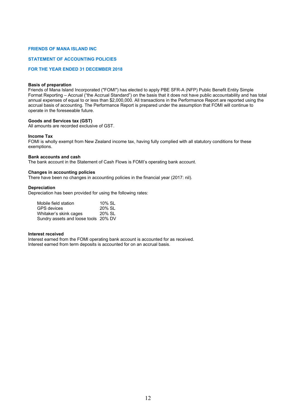#### **STATEMENT OF ACCOUNTING POLICIES**

## **FOR THE YEAR ENDED 31 DECEMBER 2018**

#### **Basis of preparation**

Friends of Mana Island Incorporated ("FOMI") has elected to apply PBE SFR-A (NFP) Public Benefit Entity Simple Format Reporting – Accrual ("the Accrual Standard") on the basis that it does not have public accountability and has total annual expenses of equal to or less than \$2,000,000. All transactions in the Performance Report are reported using the accrual basis of accounting. The Performance Report is prepared under the assumption that FOMI will continue to operate in the foreseeable future.

#### **Goods and Services tax (GST)**

All amounts are recorded exclusive of GST.

#### **Income Tax**

FOMI is wholly exempt from New Zealand income tax, having fully complied with all statutory conditions for these exemptions.

#### **Bank accounts and cash**

The bank account in the Statement of Cash Flows is FOMI's operating bank account.

#### **Changes in accounting policies**

There have been no changes in accounting policies in the financial year (2017: nil).

#### **Depreciation**

Depreciation has been provided for using the following rates:

| Mobile field station                 | 10% SL |
|--------------------------------------|--------|
| <b>GPS</b> devices                   | 20% SL |
| Whitaker's skink cages               | 20% SL |
| Sundry assets and loose tools 20% DV |        |

#### **Interest received**

Interest earned from the FOMI operating bank account is accounted for as received. Interest earned from term deposits is accounted for on an accrual basis.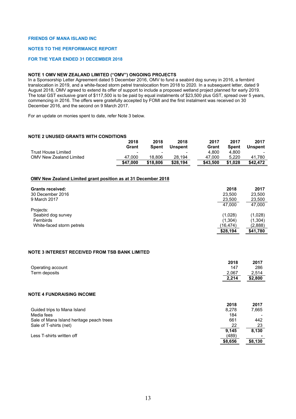#### **NOTES TO THE PERFORMANCE REPORT**

#### **FOR THE YEAR ENDED 31 DECEMBER 2018**

## **NOTE 1 OMV NEW ZEALAND LIMITED ("OMV") ONGOING PROJECTS**

In a Sponsorship Letter Agreement dated 5 December 2016, OMV to fund a seabird dog survey in 2016, a fernbird translocation in 2019, and a white-faced storm petrel translocation from 2018 to 2020. In a subsequent letter, dated 9 August 2018, OMV agreed to extend its offer of support to include a proposed wetland project planned for early 2019. The total GST exclusive grant of \$117,500 is to be paid by equal instalments of \$23,500 plus GST, spread over 5 years, commencing in 2016. The offers were gratefully accepted by FOMI and the first instalment was received on 30 December 2016, and the second on 9 March 2017.

For an update on monies spent to date, refer Note 3 below.

#### **NOTE 2 UNUSED GRANTS WITH CONDITIONS**

|                         | 2018                     | 2018     | 2018                     | 2017     | 2017    | 2017           |
|-------------------------|--------------------------|----------|--------------------------|----------|---------|----------------|
|                         | Grant                    | Spent    | <b>Unspent</b>           | Grant    | Spent   | <b>Unspent</b> |
| Trust House Limited     | $\overline{\phantom{0}}$ |          | $\overline{\phantom{0}}$ | 4.800    | 4.800   |                |
| OMV New Zealand Limited | 47.000                   | 18.806   | 28.194                   | 47.000   | 5.220   | 41.780         |
|                         | \$47.000                 | \$18,806 | \$28.194                 | \$43,500 | \$1.028 | \$42.472       |

#### **OMV New Zealand Limited grant position as at 31 December 2018**

| <b>Grants received:</b><br>30 December 2016<br>9 March 2017 | 2018<br>23.500<br>23,500<br>47.000 | 2017<br>23,500<br>23,500<br>47.000 |
|-------------------------------------------------------------|------------------------------------|------------------------------------|
| Projects:                                                   |                                    |                                    |
| Seabird dog survey                                          | (1,028)                            | (1,028)                            |
| Fernbirds                                                   | (1,304)                            | (1,304)                            |
| White-faced storm petrels                                   | (16, 474)                          | (2.888)                            |
|                                                             | \$28,194                           | \$41.780                           |

#### **NOTE 3 INTEREST RECEIVED FROM TSB BANK LIMITED**

|                                          | 2018    | 2017    |
|------------------------------------------|---------|---------|
| Operating account                        | 147     | 286     |
| Term deposits                            | 2,067   | 2,514   |
|                                          | 2,214   | \$2,800 |
|                                          |         |         |
| <b>NOTE 4 FUNDRAISING INCOME</b>         |         |         |
|                                          | 2018    | 2017    |
| Guided trips to Mana Island              | 8.278   | 7,665   |
| Media fees                               | 184     |         |
| Sale of Mana Island heritage peach trees | 661     | 442     |
| Sale of T-shirts (net)                   | 22      | 23      |
|                                          | 9,145   | 8,130   |
| Less T-shirts written off                | (489)   |         |
|                                          | \$8,656 | \$8,130 |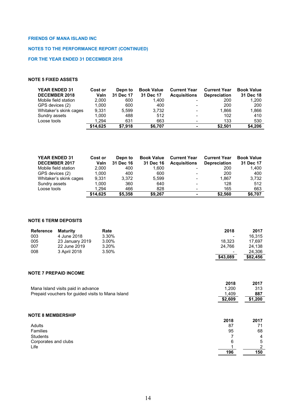## **NOTES TO THE PERFORMANCE REPORT (CONTINUED)**

## **FOR THE YEAR ENDED 31 DECEMBER 2018**

## **NOTE 5 FIXED ASSETS**

| <b>YEAR ENDED 31</b><br><b>DECEMBER 2018</b> | Cost or<br>Valn | Depn to<br>31 Dec 17 | <b>Book Value</b><br>31 Dec 17 | <b>Current Year</b><br><b>Acquisitions</b> | <b>Current Year</b><br><b>Depreciation</b> | <b>Book Value</b><br>31 Dec 18 |
|----------------------------------------------|-----------------|----------------------|--------------------------------|--------------------------------------------|--------------------------------------------|--------------------------------|
| Mobile field station                         | 2.000           | 600                  | 1.400                          |                                            | 200                                        | 1.200                          |
| GPS devices (2)                              | 1.000           | 600                  | 400                            |                                            | 200                                        | 200                            |
| Whitaker's skink cages                       | 9.331           | 5.599                | 3.732                          |                                            | 1.866                                      | 1,866                          |
| Sundry assets                                | 1.000           | 488                  | 512                            |                                            | 102                                        | 410                            |
| Loose tools                                  | 1.294           | 631                  | 663                            |                                            | 133                                        | 530                            |
|                                              | \$14.625        | \$7.918              | \$6.707                        | -                                          | \$2.501                                    | \$4,206                        |

| <b>YEAR ENDED 31</b>   | <b>Cost or</b> | Depn to   | <b>Book Value</b> | <b>Current Year</b>      | <b>Current Year</b> | <b>Book Value</b> |
|------------------------|----------------|-----------|-------------------|--------------------------|---------------------|-------------------|
| <b>DECEMBER 2017</b>   | Valn           | 31 Dec 16 | 31 Dec 16         | <b>Acquisitions</b>      | <b>Depreciation</b> | 31 Dec 17         |
| Mobile field station   | 2.000          | 400       | 1.600             |                          | 200                 | 1,400             |
| GPS devices (2)        | 1.000          | 400       | 600               | $\blacksquare$           | 200                 | 400               |
| Whitaker's skink cages | 9.331          | 3.372     | 5.599             | $\blacksquare$           | 1.867               | 3,732             |
| Sundry assets          | 1.000          | 360       | 640               | $\blacksquare$           | 128                 | 512               |
| Loose tools            | 1.294          | 466       | 828               | $\overline{\phantom{0}}$ | 165                 | 663               |
|                        | \$14.625       | \$5,358   | \$9.267           | ۰.                       | \$2.560             | \$6,707           |

## **NOTE 6 TERM DEPOSITS**

| <b>Reference</b> | Maturity        | Rate  | 2018                     | 2017     |
|------------------|-----------------|-------|--------------------------|----------|
| 003              | 4 June 2018     | 3.30% | $\overline{\phantom{a}}$ | 16.315   |
| 005              | 23 January 2019 | 3.00% | 18.323                   | 17.697   |
| 007              | 22 June 2019    | 3.20% | 24.766                   | 24.138   |
| 008              | 3 April 2018    | 3.50% | $\overline{\phantom{a}}$ | 24,306   |
|                  |                 |       | \$43,089                 | \$82,456 |

#### **NOTE 7 PREPAID INCOME**

|                                                   | 2018    | 2017    |
|---------------------------------------------------|---------|---------|
| Mana Island visits paid in advance                | 1.200   | 313     |
| Prepaid vouchers for guided visits to Mana Island | 1.409   | 887     |
|                                                   | \$2,609 | \$1,200 |
|                                                   |         |         |

| <b>NOTE 8 MEMBERSHIP</b> |      |      |
|--------------------------|------|------|
|                          | 2018 | 2017 |
| Adults                   | 87   | 71   |
| Families                 | 95   | 68   |
| <b>Students</b>          |      | 4    |
| Corporates and clubs     | 6    | 5    |
| Life                     |      | ◠    |
|                          | 196  | 150  |
|                          |      |      |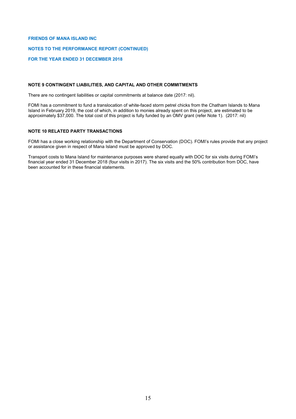## **NOTES TO THE PERFORMANCE REPORT (CONTINUED)**

## **FOR THE YEAR ENDED 31 DECEMBER 2018**

## **NOTE 9 CONTINGENT LIABILITIES, AND CAPITAL AND OTHER COMMITMENTS**

There are no contingent liabilities or capital commitments at balance date (2017: nil).

FOMI has a commitment to fund a translocation of white-faced storm petrel chicks from the Chatham Islands to Mana Island in February 2019, the cost of which, in addition to monies already spent on this project, are estimated to be approximately \$37,000. The total cost of this project is fully funded by an OMV grant (refer Note 1). (2017: nil)

#### **NOTE 10 RELATED PARTY TRANSACTIONS**

FOMI has a close working relationship with the Department of Conservation (DOC). FOMI's rules provide that any project or assistance given in respect of Mana Island must be approved by DOC.

Transport costs to Mana Island for maintenance purposes were shared equally with DOC for six visits during FOMI's financial year ended 31 December 2018 (four visits in 2017). The six visits and the 50% contribution from DOC, have been accounted for in these financial statements.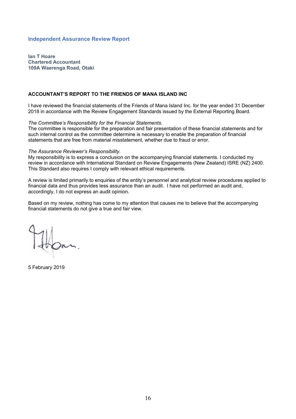## **Independent Assurance Review Report**

**Ian T Hoare Chartered Accountant 109A Waerenga Road, Otaki**

## **ACCOUNTANT'S REPORT TO THE FRIENDS OF MANA ISLAND INC**

I have reviewed the financial statements of the Friends of Mana Island Inc. for the year ended 31 December 2018 in accordance with the Review Engagement Standards issued by the External Reporting Board.

## *The Committee's Responsibility for the Financial Statements.*

The committee is responsible for the preparation and fair presentation of these financial statements and for such internal control as the committee determine is necessary to enable the preparation of financial statements that are free from material misstatement, whether due to fraud or error.

#### *The Assurance Reviewer's Responsibility.*

My responsibility is to express a conclusion on the accompanying financial statements. I conducted my review in accordance with International Standard on Review Engagements (New Zealand) ISRE (NZ) 2400. This Standard also requires I comply with relevant ethical requirements.

A review is limited primarily to enquiries of the entity's personnel and analytical review procedures applied to financial data and thus provides less assurance than an audit. I have not performed an audit and, accordingly, I do not express an audit opinion.

Based on my review, nothing has come to my attention that causes me to believe that the accompanying financial statements do not give a true and fair view.

5 February 2019